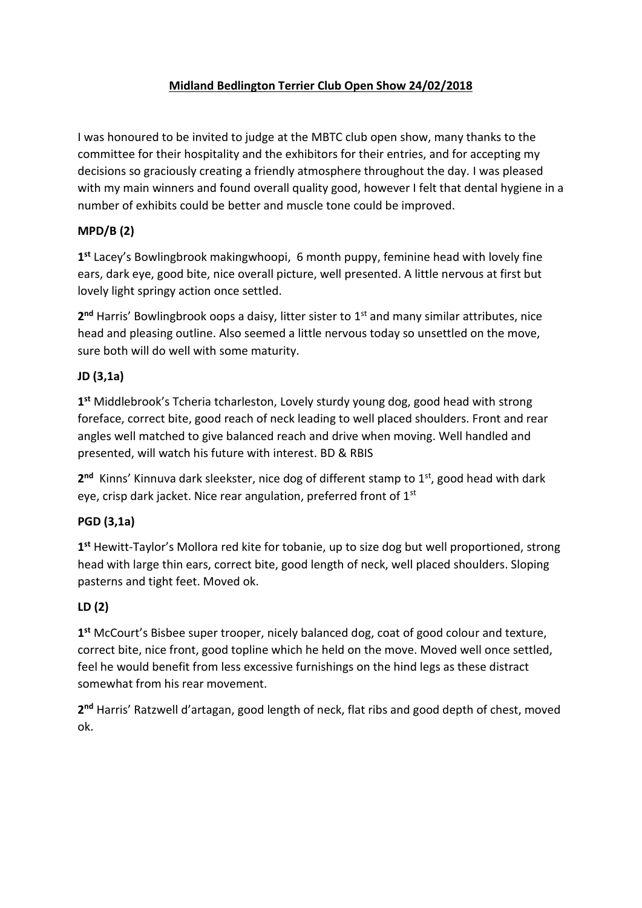## **Midland Bedlington Terrier Club Open Show 24/02/2018**

I was honoured to be invited to judge at the MBTC club open show, many thanks to the committee for their hospitality and the exhibitors for their entries, and for accepting my decisions so graciously creating a friendly atmosphere throughout the day. I was pleased with my main winners and found overall quality good, however I felt that dental hygiene in a number of exhibits could be better and muscle tone could be improved.

## **MPD/B (2)**

**1 st** Lacey's Bowlingbrook makingwhoopi, 6 month puppy, feminine head with lovely fine ears, dark eye, good bite, nice overall picture, well presented. A little nervous at first but lovely light springy action once settled.

2<sup>nd</sup> Harris' Bowlingbrook oops a daisy, litter sister to 1<sup>st</sup> and many similar attributes, nice head and pleasing outline. Also seemed a little nervous today so unsettled on the move, sure both will do well with some maturity.

## **JD (3,1a)**

**1 st** Middlebrook's Tcheria tcharleston, Lovely sturdy young dog, good head with strong foreface, correct bite, good reach of neck leading to well placed shoulders. Front and rear angles well matched to give balanced reach and drive when moving. Well handled and presented, will watch his future with interest. BD & RBIS

2<sup>nd</sup> Kinns' Kinnuva dark sleekster, nice dog of different stamp to 1<sup>st</sup>, good head with dark eye, crisp dark jacket. Nice rear angulation, preferred front of 1<sup>st</sup>

### **PGD (3,1a)**

**1 st** Hewitt-Taylor's Mollora red kite for tobanie, up to size dog but well proportioned, strong head with large thin ears, correct bite, good length of neck, well placed shoulders. Sloping pasterns and tight feet. Moved ok.

# **LD (2)**

**1 st** McCourt's Bisbee super trooper, nicely balanced dog, coat of good colour and texture, correct bite, nice front, good topline which he held on the move. Moved well once settled, feel he would benefit from less excessive furnishings on the hind legs as these distract somewhat from his rear movement.

**2 nd** Harris' Ratzwell d'artagan, good length of neck, flat ribs and good depth of chest, moved ok.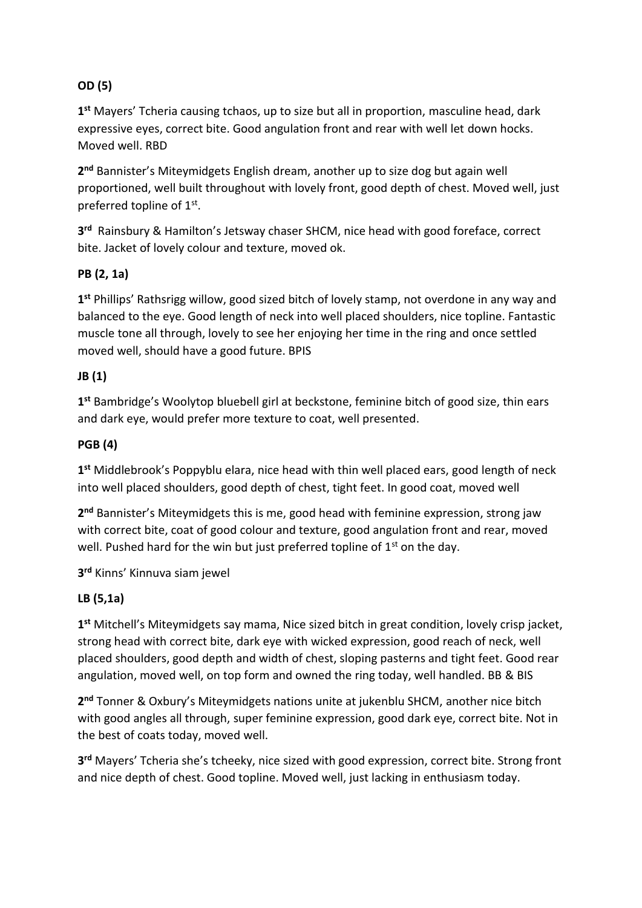## **OD (5)**

**1 st** Mayers' Tcheria causing tchaos, up to size but all in proportion, masculine head, dark expressive eyes, correct bite. Good angulation front and rear with well let down hocks. Moved well. RBD

**2 nd** Bannister's Miteymidgets English dream, another up to size dog but again well proportioned, well built throughout with lovely front, good depth of chest. Moved well, just preferred topline of 1st.

**3 rd** Rainsbury & Hamilton's Jetsway chaser SHCM, nice head with good foreface, correct bite. Jacket of lovely colour and texture, moved ok.

### **PB (2, 1a)**

**1 st** Phillips' Rathsrigg willow, good sized bitch of lovely stamp, not overdone in any way and balanced to the eye. Good length of neck into well placed shoulders, nice topline. Fantastic muscle tone all through, lovely to see her enjoying her time in the ring and once settled moved well, should have a good future. BPIS

### **JB (1)**

**1 st** Bambridge's Woolytop bluebell girl at beckstone, feminine bitch of good size, thin ears and dark eye, would prefer more texture to coat, well presented.

### **PGB (4)**

**1 st** Middlebrook's Poppyblu elara, nice head with thin well placed ears, good length of neck into well placed shoulders, good depth of chest, tight feet. In good coat, moved well

**2 nd** Bannister's Miteymidgets this is me, good head with feminine expression, strong jaw with correct bite, coat of good colour and texture, good angulation front and rear, moved well. Pushed hard for the win but just preferred topline of  $1<sup>st</sup>$  on the day.

**3 rd** Kinns' Kinnuva siam jewel

### **LB (5,1a)**

**1 st** Mitchell's Miteymidgets say mama, Nice sized bitch in great condition, lovely crisp jacket, strong head with correct bite, dark eye with wicked expression, good reach of neck, well placed shoulders, good depth and width of chest, sloping pasterns and tight feet. Good rear angulation, moved well, on top form and owned the ring today, well handled. BB & BIS

**2 nd** Tonner & Oxbury's Miteymidgets nations unite at jukenblu SHCM, another nice bitch with good angles all through, super feminine expression, good dark eye, correct bite. Not in the best of coats today, moved well.

**3 rd** Mayers' Tcheria she's tcheeky, nice sized with good expression, correct bite. Strong front and nice depth of chest. Good topline. Moved well, just lacking in enthusiasm today.